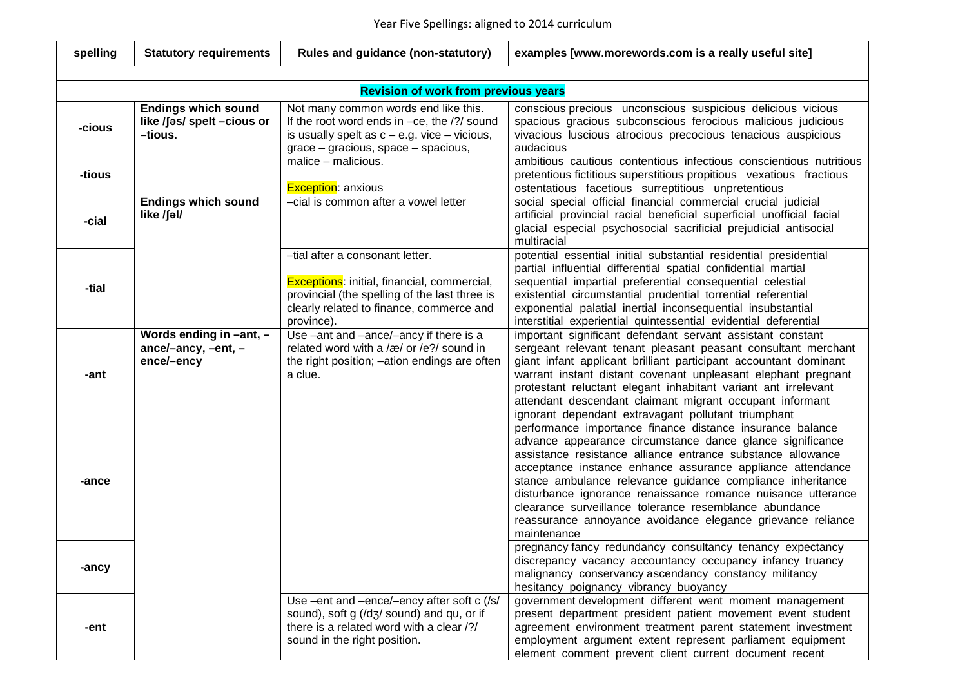| spelling | <b>Statutory requirements</b>                                       | Rules and guidance (non-statutory)                                                                                                                                                               | examples [www.morewords.com is a really useful site]                                                                                                                                                                                                                                                                                                                                                                                                                                                                      |
|----------|---------------------------------------------------------------------|--------------------------------------------------------------------------------------------------------------------------------------------------------------------------------------------------|---------------------------------------------------------------------------------------------------------------------------------------------------------------------------------------------------------------------------------------------------------------------------------------------------------------------------------------------------------------------------------------------------------------------------------------------------------------------------------------------------------------------------|
|          |                                                                     |                                                                                                                                                                                                  |                                                                                                                                                                                                                                                                                                                                                                                                                                                                                                                           |
|          |                                                                     | <b>Revision of work from previous years</b>                                                                                                                                                      |                                                                                                                                                                                                                                                                                                                                                                                                                                                                                                                           |
| -cious   | <b>Endings which sound</b><br>like /fas/ spelt -cious or<br>-tious. | Not many common words end like this.<br>If the root word ends in $-ce$ , the $/$ ?/ sound<br>is usually spelt as $c - e.g.$ vice $-$ vicious,<br>$grace - gracious$ , space $-$ spacious,        | conscious precious unconscious suspicious delicious vicious<br>spacious gracious subconscious ferocious malicious judicious<br>vivacious luscious atrocious precocious tenacious auspicious<br>audacious                                                                                                                                                                                                                                                                                                                  |
| -tious   |                                                                     | $malice$ – malicious.<br><b>Exception: anxious</b>                                                                                                                                               | ambitious cautious contentious infectious conscientious nutritious<br>pretentious fictitious superstitious propitious vexatious fractious<br>ostentatious facetious surreptitious unpretentious                                                                                                                                                                                                                                                                                                                           |
| -cial    | <b>Endings which sound</b><br>like /ʃəl/                            | -cial is common after a vowel letter                                                                                                                                                             | social special official financial commercial crucial judicial<br>artificial provincial racial beneficial superficial unofficial facial<br>glacial especial psychosocial sacrificial prejudicial antisocial<br>multiracial                                                                                                                                                                                                                                                                                                 |
| -tial    |                                                                     | -tial after a consonant letter.<br><b>Exceptions:</b> initial, financial, commercial,<br>provincial (the spelling of the last three is<br>clearly related to finance, commerce and<br>province). | potential essential initial substantial residential presidential<br>partial influential differential spatial confidential martial<br>sequential impartial preferential consequential celestial<br>existential circumstantial prudential torrential referential<br>exponential palatial inertial inconsequential insubstantial<br>interstitial experiential quintessential evidential deferential                                                                                                                          |
| -ant     | Words ending in -ant, -<br>ance/-ancy, -ent, -<br>ence/-ency        | Use -ant and -ance/-ancy if there is a<br>related word with a /æ/ or /e?/ sound in<br>the right position; -ation endings are often<br>a clue.                                                    | important significant defendant servant assistant constant<br>sergeant relevant tenant pleasant peasant consultant merchant<br>giant infant applicant brilliant participant accountant dominant<br>warrant instant distant covenant unpleasant elephant pregnant<br>protestant reluctant elegant inhabitant variant ant irrelevant<br>attendant descendant claimant migrant occupant informant<br>ignorant dependant extravagant pollutant triumphant                                                                     |
| -ance    |                                                                     |                                                                                                                                                                                                  | performance importance finance distance insurance balance<br>advance appearance circumstance dance glance significance<br>assistance resistance alliance entrance substance allowance<br>acceptance instance enhance assurance appliance attendance<br>stance ambulance relevance guidance compliance inheritance<br>disturbance ignorance renaissance romance nuisance utterance<br>clearance surveillance tolerance resemblance abundance<br>reassurance annoyance avoidance elegance grievance reliance<br>maintenance |
| -ancy    |                                                                     |                                                                                                                                                                                                  | pregnancy fancy redundancy consultancy tenancy expectancy<br>discrepancy vacancy accountancy occupancy infancy truancy<br>malignancy conservancy ascendancy constancy militancy<br>hesitancy poignancy vibrancy buoyancy                                                                                                                                                                                                                                                                                                  |
| -ent     |                                                                     | Use -ent and -ence/-ency after soft c (/s/<br>sound), soft g (/dʒ/ sound) and qu, or if<br>there is a related word with a clear /?/<br>sound in the right position.                              | government development different went moment management<br>present department president patient movement event student<br>agreement environment treatment parent statement investment<br>employment argument extent represent parliament equipment<br>element comment prevent client current document recent                                                                                                                                                                                                              |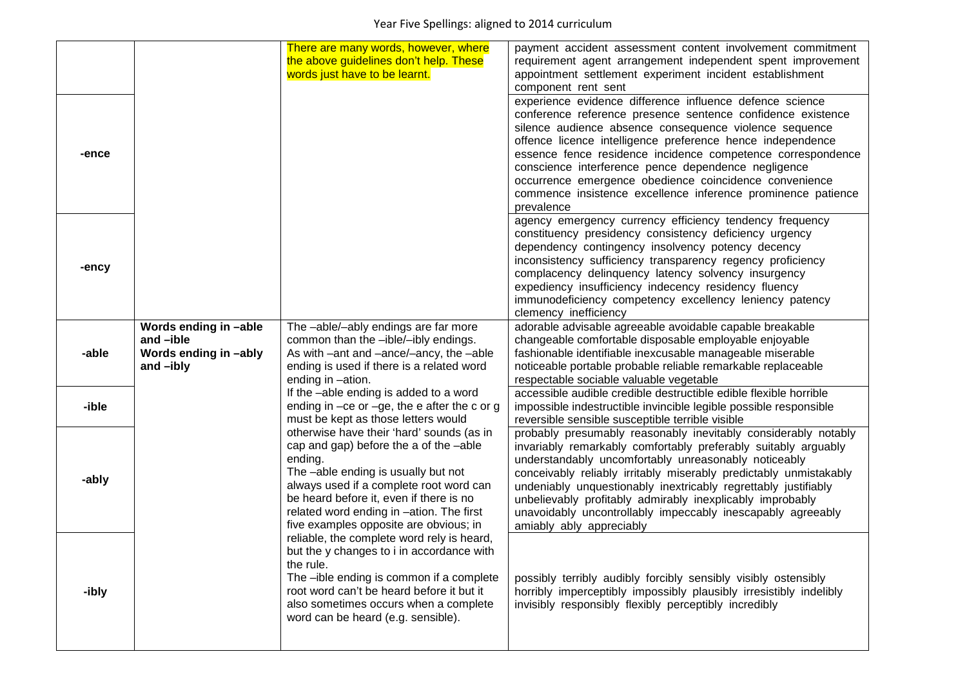|       |                                                                            | There are many words, however, where<br>the above guidelines don't help. These<br>words just have to be learnt.                                                                                                                                                                                                   | payment accident assessment content involvement commitment<br>requirement agent arrangement independent spent improvement<br>appointment settlement experiment incident establishment<br>component rent sent                                                                                                                                                                                                                                                                                                  |
|-------|----------------------------------------------------------------------------|-------------------------------------------------------------------------------------------------------------------------------------------------------------------------------------------------------------------------------------------------------------------------------------------------------------------|---------------------------------------------------------------------------------------------------------------------------------------------------------------------------------------------------------------------------------------------------------------------------------------------------------------------------------------------------------------------------------------------------------------------------------------------------------------------------------------------------------------|
| -ence |                                                                            |                                                                                                                                                                                                                                                                                                                   | experience evidence difference influence defence science<br>conference reference presence sentence confidence existence<br>silence audience absence consequence violence sequence<br>offence licence intelligence preference hence independence<br>essence fence residence incidence competence correspondence<br>conscience interference pence dependence negligence<br>occurrence emergence obedience coincidence convenience<br>commence insistence excellence inference prominence patience<br>prevalence |
| -ency |                                                                            |                                                                                                                                                                                                                                                                                                                   | agency emergency currency efficiency tendency frequency<br>constituency presidency consistency deficiency urgency<br>dependency contingency insolvency potency decency<br>inconsistency sufficiency transparency regency proficiency<br>complacency delinquency latency solvency insurgency<br>expediency insufficiency indecency residency fluency<br>immunodeficiency competency excellency leniency patency<br>clemency inefficiency                                                                       |
| -able | Words ending in -able<br>and -ible<br>Words ending in -ably<br>and $-ibly$ | The -able/-ably endings are far more<br>common than the -ible/-ibly endings.<br>As with -ant and -ance/-ancy, the -able<br>ending is used if there is a related word<br>ending in -ation.                                                                                                                         | adorable advisable agreeable avoidable capable breakable<br>changeable comfortable disposable employable enjoyable<br>fashionable identifiable inexcusable manageable miserable<br>noticeable portable probable reliable remarkable replaceable<br>respectable sociable valuable vegetable                                                                                                                                                                                                                    |
| -ible |                                                                            | If the -able ending is added to a word<br>ending in $-ce$ or $-ge$ , the e after the c or g<br>must be kept as those letters would                                                                                                                                                                                | accessible audible credible destructible edible flexible horrible<br>impossible indestructible invincible legible possible responsible<br>reversible sensible susceptible terrible visible                                                                                                                                                                                                                                                                                                                    |
| -ably |                                                                            | otherwise have their 'hard' sounds (as in<br>cap and gap) before the a of the -able<br>ending.<br>The -able ending is usually but not<br>always used if a complete root word can<br>be heard before it, even if there is no<br>related word ending in -ation. The first<br>five examples opposite are obvious; in | probably presumably reasonably inevitably considerably notably<br>invariably remarkably comfortably preferably suitably arguably<br>understandably uncomfortably unreasonably noticeably<br>conceivably reliably irritably miserably predictably unmistakably<br>undeniably unquestionably inextricably regrettably justifiably<br>unbelievably profitably admirably inexplicably improbably<br>unavoidably uncontrollably impeccably inescapably agreeably<br>amiably ably appreciably                       |
| -ibly |                                                                            | reliable, the complete word rely is heard,<br>but the y changes to i in accordance with<br>the rule.<br>The -ible ending is common if a complete<br>root word can't be heard before it but it<br>also sometimes occurs when a complete<br>word can be heard (e.g. sensible).                                      | possibly terribly audibly forcibly sensibly visibly ostensibly<br>horribly imperceptibly impossibly plausibly irresistibly indelibly<br>invisibly responsibly flexibly perceptibly incredibly                                                                                                                                                                                                                                                                                                                 |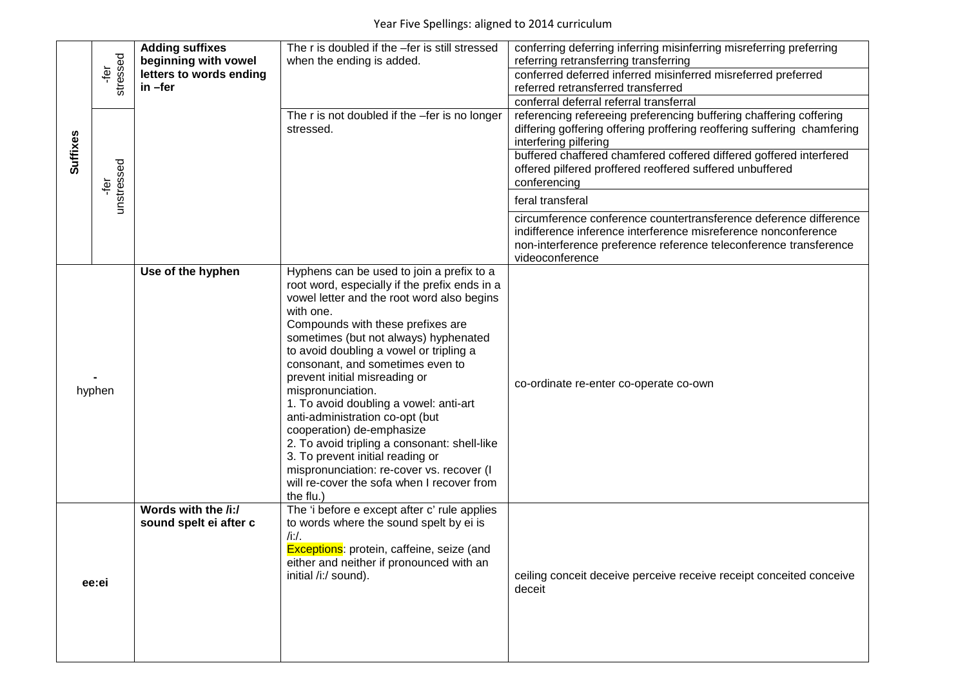|          |                   | <b>Adding suffixes</b><br>beginning with vowel | The r is doubled if the -fer is still stressed<br>when the ending is added.                                                                                                                                                                                                                                                                                                                                                                                                                                                                                                                                                                                                    | conferring deferring inferring misinferring misreferring preferring<br>referring retransferring transferring                                                                                                                |
|----------|-------------------|------------------------------------------------|--------------------------------------------------------------------------------------------------------------------------------------------------------------------------------------------------------------------------------------------------------------------------------------------------------------------------------------------------------------------------------------------------------------------------------------------------------------------------------------------------------------------------------------------------------------------------------------------------------------------------------------------------------------------------------|-----------------------------------------------------------------------------------------------------------------------------------------------------------------------------------------------------------------------------|
|          | stressed<br>∱¤    | letters to words ending<br>in -fer             |                                                                                                                                                                                                                                                                                                                                                                                                                                                                                                                                                                                                                                                                                | conferred deferred inferred misinferred misreferred preferred<br>referred retransferred transferred                                                                                                                         |
|          |                   |                                                |                                                                                                                                                                                                                                                                                                                                                                                                                                                                                                                                                                                                                                                                                | conferral deferral referral transferral                                                                                                                                                                                     |
|          |                   |                                                | The r is not doubled if the -fer is no longer<br>stressed.                                                                                                                                                                                                                                                                                                                                                                                                                                                                                                                                                                                                                     | referencing refereeing preferencing buffering chaffering coffering<br>differing goffering offering proffering reoffering suffering chamfering<br>interfering pilfering                                                      |
| Suffixes | unstressed<br>jēŗ |                                                |                                                                                                                                                                                                                                                                                                                                                                                                                                                                                                                                                                                                                                                                                | buffered chaffered chamfered coffered differed goffered interfered<br>offered pilfered proffered reoffered suffered unbuffered<br>conferencing                                                                              |
|          |                   |                                                |                                                                                                                                                                                                                                                                                                                                                                                                                                                                                                                                                                                                                                                                                | feral transferal                                                                                                                                                                                                            |
|          |                   |                                                |                                                                                                                                                                                                                                                                                                                                                                                                                                                                                                                                                                                                                                                                                | circumference conference countertransference deference difference<br>indifference inference interference misreference nonconference<br>non-interference preference reference teleconference transference<br>videoconference |
|          | hyphen            | Use of the hyphen                              | Hyphens can be used to join a prefix to a<br>root word, especially if the prefix ends in a<br>vowel letter and the root word also begins<br>with one.<br>Compounds with these prefixes are<br>sometimes (but not always) hyphenated<br>to avoid doubling a vowel or tripling a<br>consonant, and sometimes even to<br>prevent initial misreading or<br>mispronunciation.<br>1. To avoid doubling a vowel: anti-art<br>anti-administration co-opt (but<br>cooperation) de-emphasize<br>2. To avoid tripling a consonant: shell-like<br>3. To prevent initial reading or<br>mispronunciation: re-cover vs. recover (I<br>will re-cover the sofa when I recover from<br>the flu.) | co-ordinate re-enter co-operate co-own                                                                                                                                                                                      |
|          | ee:ei             | Words with the /i:/<br>sound spelt ei after c  | The 'i before e except after c' rule applies<br>to words where the sound spelt by ei is<br>$/i$ ./.<br>Exceptions: protein, caffeine, seize (and<br>either and neither if pronounced with an<br>initial /i:/ sound).                                                                                                                                                                                                                                                                                                                                                                                                                                                           | ceiling conceit deceive perceive receive receipt conceited conceive<br>deceit                                                                                                                                               |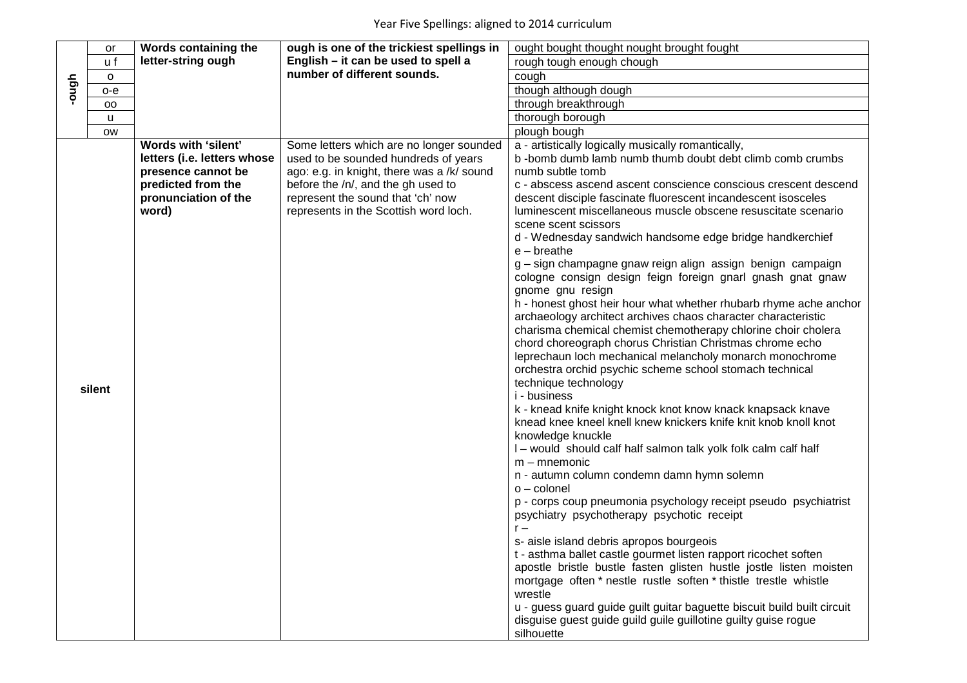|       | or        | Words containing the                                                                                                            | ough is one of the trickiest spellings in                                                                                                                                                                                                          | ought bought thought nought brought fought                                                                                                                                                                                                                                                                                                                                                                                                                                                                                                                                                                                                                                                                                                                                                                                                                                                                                                                                                                                                                                                                                                                                                                                                                                                                                                                                                                                                                                                                                                                                                                                                                                                                                                                                                                                                                                                 |
|-------|-----------|---------------------------------------------------------------------------------------------------------------------------------|----------------------------------------------------------------------------------------------------------------------------------------------------------------------------------------------------------------------------------------------------|--------------------------------------------------------------------------------------------------------------------------------------------------------------------------------------------------------------------------------------------------------------------------------------------------------------------------------------------------------------------------------------------------------------------------------------------------------------------------------------------------------------------------------------------------------------------------------------------------------------------------------------------------------------------------------------------------------------------------------------------------------------------------------------------------------------------------------------------------------------------------------------------------------------------------------------------------------------------------------------------------------------------------------------------------------------------------------------------------------------------------------------------------------------------------------------------------------------------------------------------------------------------------------------------------------------------------------------------------------------------------------------------------------------------------------------------------------------------------------------------------------------------------------------------------------------------------------------------------------------------------------------------------------------------------------------------------------------------------------------------------------------------------------------------------------------------------------------------------------------------------------------------|
|       | u f       | letter-string ough                                                                                                              | English - it can be used to spell a                                                                                                                                                                                                                | rough tough enough chough                                                                                                                                                                                                                                                                                                                                                                                                                                                                                                                                                                                                                                                                                                                                                                                                                                                                                                                                                                                                                                                                                                                                                                                                                                                                                                                                                                                                                                                                                                                                                                                                                                                                                                                                                                                                                                                                  |
|       | $\circ$   |                                                                                                                                 | number of different sounds.                                                                                                                                                                                                                        | cough                                                                                                                                                                                                                                                                                                                                                                                                                                                                                                                                                                                                                                                                                                                                                                                                                                                                                                                                                                                                                                                                                                                                                                                                                                                                                                                                                                                                                                                                                                                                                                                                                                                                                                                                                                                                                                                                                      |
| dgno- | о-е       |                                                                                                                                 |                                                                                                                                                                                                                                                    | though although dough                                                                                                                                                                                                                                                                                                                                                                                                                                                                                                                                                                                                                                                                                                                                                                                                                                                                                                                                                                                                                                                                                                                                                                                                                                                                                                                                                                                                                                                                                                                                                                                                                                                                                                                                                                                                                                                                      |
|       | oo        |                                                                                                                                 |                                                                                                                                                                                                                                                    | through breakthrough                                                                                                                                                                                                                                                                                                                                                                                                                                                                                                                                                                                                                                                                                                                                                                                                                                                                                                                                                                                                                                                                                                                                                                                                                                                                                                                                                                                                                                                                                                                                                                                                                                                                                                                                                                                                                                                                       |
|       | u         |                                                                                                                                 |                                                                                                                                                                                                                                                    | thorough borough                                                                                                                                                                                                                                                                                                                                                                                                                                                                                                                                                                                                                                                                                                                                                                                                                                                                                                                                                                                                                                                                                                                                                                                                                                                                                                                                                                                                                                                                                                                                                                                                                                                                                                                                                                                                                                                                           |
|       | <b>OW</b> |                                                                                                                                 |                                                                                                                                                                                                                                                    | plough bough                                                                                                                                                                                                                                                                                                                                                                                                                                                                                                                                                                                                                                                                                                                                                                                                                                                                                                                                                                                                                                                                                                                                                                                                                                                                                                                                                                                                                                                                                                                                                                                                                                                                                                                                                                                                                                                                               |
|       | silent    | Words with 'silent'<br>letters (i.e. letters whose<br>presence cannot be<br>predicted from the<br>pronunciation of the<br>word) | Some letters which are no longer sounded<br>used to be sounded hundreds of years<br>ago: e.g. in knight, there was a /k/ sound<br>before the /n/, and the gh used to<br>represent the sound that 'ch' now<br>represents in the Scottish word loch. | a - artistically logically musically romantically,<br>b-bomb dumb lamb numb thumb doubt debt climb comb crumbs<br>numb subtle tomb<br>c - abscess ascend ascent conscience conscious crescent descend<br>descent disciple fascinate fluorescent incandescent isosceles<br>luminescent miscellaneous muscle obscene resuscitate scenario<br>scene scent scissors<br>d - Wednesday sandwich handsome edge bridge handkerchief<br>$e$ – breathe<br>g - sign champagne gnaw reign align assign benign campaign<br>cologne consign design feign foreign gnarl gnash gnat gnaw<br>gnome gnu resign<br>h - honest ghost heir hour what whether rhubarb rhyme ache anchor<br>archaeology architect archives chaos character characteristic<br>charisma chemical chemist chemotherapy chlorine choir cholera<br>chord choreograph chorus Christian Christmas chrome echo<br>leprechaun loch mechanical melancholy monarch monochrome<br>orchestra orchid psychic scheme school stomach technical<br>technique technology<br>i - business<br>k - knead knife knight knock knot know knack knapsack knave<br>knead knee kneel knell knew knickers knife knit knob knoll knot<br>knowledge knuckle<br>I – would should calf half salmon talk yolk folk calm calf half<br>$m - m$ nemonic<br>n - autumn column condemn damn hymn solemn<br>$o$ – colonel<br>p - corps coup pneumonia psychology receipt pseudo psychiatrist<br>psychiatry psychotherapy psychotic receipt<br>s- aisle island debris apropos bourgeois<br>t - asthma ballet castle gourmet listen rapport ricochet soften<br>apostle bristle bustle fasten glisten hustle jostle listen moisten<br>mortgage often * nestle rustle soften * thistle trestle whistle<br>wrestle<br>u - guess guard guide guilt guitar baguette biscuit build built circuit<br>disguise guest guide guild guile guillotine guilty guise rogue<br>silhouette |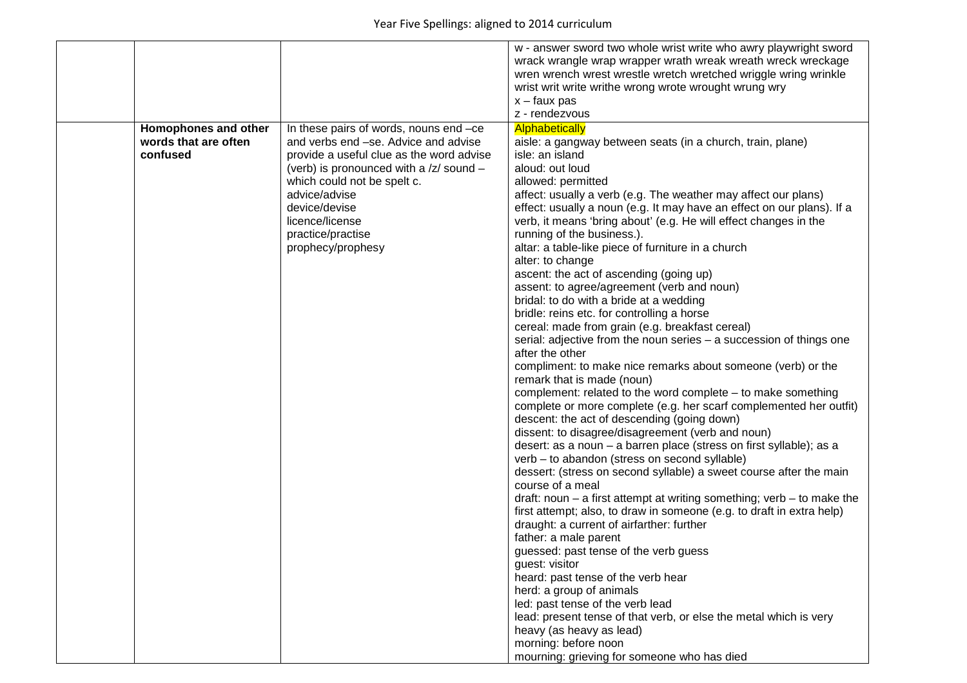|                                                          |                                                                                                                                                                                                                                                                                                     | w - answer sword two whole wrist write who awry playwright sword<br>wrack wrangle wrap wrapper wrath wreak wreath wreck wreckage<br>wren wrench wrest wrestle wretch wretched wriggle wring wrinkle<br>wrist writ write writhe wrong wrote wrought wrung wry<br>$x - faux$ pas<br>z - rendezvous                                                                                                                                                                                                                                                                                                                                                                                                                                                                                                                                                                                                                                                                                                                                                                                                                                                                                                                                                                                                                                                                                                                                                                                                                                                                                                                                                                                                                                                                                                                                                                                                                                       |
|----------------------------------------------------------|-----------------------------------------------------------------------------------------------------------------------------------------------------------------------------------------------------------------------------------------------------------------------------------------------------|----------------------------------------------------------------------------------------------------------------------------------------------------------------------------------------------------------------------------------------------------------------------------------------------------------------------------------------------------------------------------------------------------------------------------------------------------------------------------------------------------------------------------------------------------------------------------------------------------------------------------------------------------------------------------------------------------------------------------------------------------------------------------------------------------------------------------------------------------------------------------------------------------------------------------------------------------------------------------------------------------------------------------------------------------------------------------------------------------------------------------------------------------------------------------------------------------------------------------------------------------------------------------------------------------------------------------------------------------------------------------------------------------------------------------------------------------------------------------------------------------------------------------------------------------------------------------------------------------------------------------------------------------------------------------------------------------------------------------------------------------------------------------------------------------------------------------------------------------------------------------------------------------------------------------------------|
| Homophones and other<br>words that are often<br>confused | In these pairs of words, nouns end -ce<br>and verbs end -se. Advice and advise<br>provide a useful clue as the word advise<br>(verb) is pronounced with a /z/ sound -<br>which could not be spelt c.<br>advice/advise<br>device/devise<br>licence/license<br>practice/practise<br>prophecy/prophesy | <b>Alphabetically</b><br>aisle: a gangway between seats (in a church, train, plane)<br>isle: an island<br>aloud: out loud<br>allowed: permitted<br>affect: usually a verb (e.g. The weather may affect our plans)<br>effect: usually a noun (e.g. It may have an effect on our plans). If a<br>verb, it means 'bring about' (e.g. He will effect changes in the<br>running of the business.).<br>altar: a table-like piece of furniture in a church<br>alter: to change<br>ascent: the act of ascending (going up)<br>assent: to agree/agreement (verb and noun)<br>bridal: to do with a bride at a wedding<br>bridle: reins etc. for controlling a horse<br>cereal: made from grain (e.g. breakfast cereal)<br>serial: adjective from the noun series - a succession of things one<br>after the other<br>compliment: to make nice remarks about someone (verb) or the<br>remark that is made (noun)<br>complement: related to the word complete - to make something<br>complete or more complete (e.g. her scarf complemented her outfit)<br>descent: the act of descending (going down)<br>dissent: to disagree/disagreement (verb and noun)<br>desert: as a noun - a barren place (stress on first syllable); as a<br>verb - to abandon (stress on second syllable)<br>dessert: (stress on second syllable) a sweet course after the main<br>course of a meal<br>draft: noun $-$ a first attempt at writing something; verb $-$ to make the<br>first attempt; also, to draw in someone (e.g. to draft in extra help)<br>draught: a current of airfarther: further<br>father: a male parent<br>guessed: past tense of the verb guess<br>guest: visitor<br>heard: past tense of the verb hear<br>herd: a group of animals<br>led: past tense of the verb lead<br>lead: present tense of that verb, or else the metal which is very<br>heavy (as heavy as lead)<br>morning: before noon<br>mourning: grieving for someone who has died |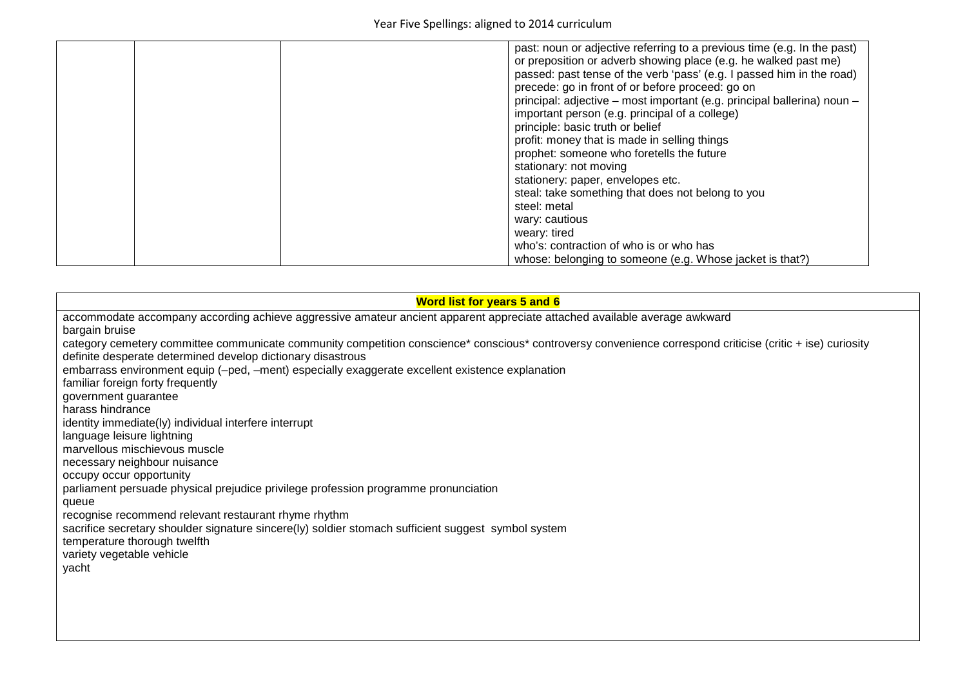| past: noun or adjective referring to a previous time (e.g. In the past)<br>or preposition or adverb showing place (e.g. he walked past me)<br>passed: past tense of the verb 'pass' (e.g. I passed him in the road)<br>precede: go in front of or before proceed: go on<br>principal: adjective - most important (e.g. principal ballerina) noun -<br>important person (e.g. principal of a college)<br>principle: basic truth or belief<br>profit: money that is made in selling things<br>prophet: someone who foretells the future<br>stationary: not moving<br>stationery: paper, envelopes etc.<br>steal: take something that does not belong to you<br>steel: metal<br>wary: cautious<br>weary: tired |
|-------------------------------------------------------------------------------------------------------------------------------------------------------------------------------------------------------------------------------------------------------------------------------------------------------------------------------------------------------------------------------------------------------------------------------------------------------------------------------------------------------------------------------------------------------------------------------------------------------------------------------------------------------------------------------------------------------------|
| who's: contraction of who is or who has<br>whose: belonging to someone (e.g. Whose jacket is that?)                                                                                                                                                                                                                                                                                                                                                                                                                                                                                                                                                                                                         |

| <b>Word list for years 5 and 6</b>                                                                                                                         |  |  |
|------------------------------------------------------------------------------------------------------------------------------------------------------------|--|--|
| accommodate accompany according achieve aggressive amateur ancient apparent appreciate attached available average awkward                                  |  |  |
| bargain bruise                                                                                                                                             |  |  |
| category cemetery committee communicate community competition conscience* conscious* controversy convenience correspond criticise (critic + ise) curiosity |  |  |
| definite desperate determined develop dictionary disastrous                                                                                                |  |  |
| embarrass environment equip (-ped, -ment) especially exaggerate excellent existence explanation                                                            |  |  |
| familiar foreign forty frequently                                                                                                                          |  |  |
| government guarantee                                                                                                                                       |  |  |
| harass hindrance                                                                                                                                           |  |  |
| identity immediate(ly) individual interfere interrupt                                                                                                      |  |  |
| language leisure lightning                                                                                                                                 |  |  |
| marvellous mischievous muscle                                                                                                                              |  |  |
| necessary neighbour nuisance                                                                                                                               |  |  |
| occupy occur opportunity                                                                                                                                   |  |  |
| parliament persuade physical prejudice privilege profession programme pronunciation                                                                        |  |  |
| queue                                                                                                                                                      |  |  |
| recognise recommend relevant restaurant rhyme rhythm                                                                                                       |  |  |
| sacrifice secretary shoulder signature sincere(Iy) soldier stomach sufficient suggest symbol system                                                        |  |  |
| temperature thorough twelfth                                                                                                                               |  |  |
| variety vegetable vehicle                                                                                                                                  |  |  |
| yacht                                                                                                                                                      |  |  |
|                                                                                                                                                            |  |  |
|                                                                                                                                                            |  |  |
|                                                                                                                                                            |  |  |